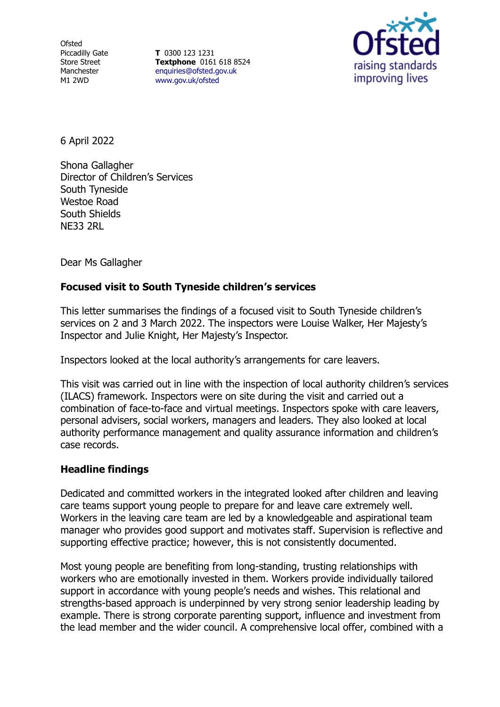**Ofsted** Piccadilly Gate Store Street Manchester M1 2WD

**T** 0300 123 1231 **Textphone** 0161 618 8524 [enquiries@ofsted.gov.uk](file:///C:/Users/lwalker2/Downloads/enquiries@ofsted.gov.uk) [www.gov.uk/ofsted](file:///C:/Users/lwalker2/Downloads/www.gov.uk/ofsted)



6 April 2022

Shona Gallagher Director of Children's Services South Tyneside Westoe Road South Shields NE33 2RL

Dear Ms Gallagher

## **Focused visit to South Tyneside children's services**

This letter summarises the findings of a focused visit to South Tyneside children's services on 2 and 3 March 2022. The inspectors were Louise Walker, Her Majesty's Inspector and Julie Knight, Her Majesty's Inspector.

Inspectors looked at the local authority's arrangements for care leavers.

This visit was carried out in line with the inspection of local authority children's services (ILACS) framework. Inspectors were on site during the visit and carried out a combination of face-to-face and virtual meetings. Inspectors spoke with care leavers, personal advisers, social workers, managers and leaders. They also looked at local authority performance management and quality assurance information and children's case records.

## **Headline findings**

Dedicated and committed workers in the integrated looked after children and leaving care teams support young people to prepare for and leave care extremely well. Workers in the leaving care team are led by a knowledgeable and aspirational team manager who provides good support and motivates staff. Supervision is reflective and supporting effective practice; however, this is not consistently documented.

Most young people are benefiting from long-standing, trusting relationships with workers who are emotionally invested in them. Workers provide individually tailored support in accordance with young people's needs and wishes. This relational and strengths-based approach is underpinned by very strong senior leadership leading by example. There is strong corporate parenting support, influence and investment from the lead member and the wider council. A comprehensive local offer, combined with a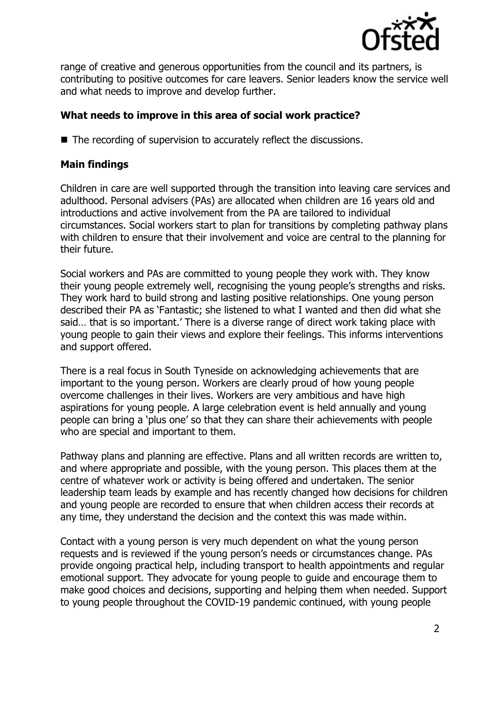

range of creative and generous opportunities from the council and its partners, is contributing to positive outcomes for care leavers. Senior leaders know the service well and what needs to improve and develop further.

## **What needs to improve in this area of social work practice?**

■ The recording of supervision to accurately reflect the discussions.

## **Main findings**

Children in care are well supported through the transition into leaving care services and adulthood. Personal advisers (PAs) are allocated when children are 16 years old and introductions and active involvement from the PA are tailored to individual circumstances. Social workers start to plan for transitions by completing pathway plans with children to ensure that their involvement and voice are central to the planning for their future.

Social workers and PAs are committed to young people they work with. They know their young people extremely well, recognising the young people's strengths and risks. They work hard to build strong and lasting positive relationships. One young person described their PA as 'Fantastic; she listened to what I wanted and then did what she said… that is so important.' There is a diverse range of direct work taking place with young people to gain their views and explore their feelings. This informs interventions and support offered.

There is a real focus in South Tyneside on acknowledging achievements that are important to the young person. Workers are clearly proud of how young people overcome challenges in their lives. Workers are very ambitious and have high aspirations for young people. A large celebration event is held annually and young people can bring a 'plus one' so that they can share their achievements with people who are special and important to them.

Pathway plans and planning are effective. Plans and all written records are written to, and where appropriate and possible, with the young person. This places them at the centre of whatever work or activity is being offered and undertaken. The senior leadership team leads by example and has recently changed how decisions for children and young people are recorded to ensure that when children access their records at any time, they understand the decision and the context this was made within.

Contact with a young person is very much dependent on what the young person requests and is reviewed if the young person's needs or circumstances change. PAs provide ongoing practical help, including transport to health appointments and regular emotional support. They advocate for young people to guide and encourage them to make good choices and decisions, supporting and helping them when needed. Support to young people throughout the COVID-19 pandemic continued, with young people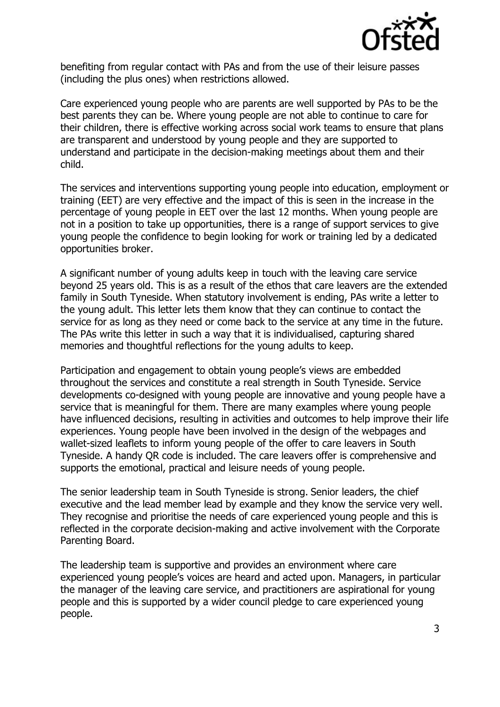

benefiting from regular contact with PAs and from the use of their leisure passes (including the plus ones) when restrictions allowed.

Care experienced young people who are parents are well supported by PAs to be the best parents they can be. Where young people are not able to continue to care for their children, there is effective working across social work teams to ensure that plans are transparent and understood by young people and they are supported to understand and participate in the decision-making meetings about them and their child.

The services and interventions supporting young people into education, employment or training (EET) are very effective and the impact of this is seen in the increase in the percentage of young people in EET over the last 12 months. When young people are not in a position to take up opportunities, there is a range of support services to give young people the confidence to begin looking for work or training led by a dedicated opportunities broker.

A significant number of young adults keep in touch with the leaving care service beyond 25 years old. This is as a result of the ethos that care leavers are the extended family in South Tyneside. When statutory involvement is ending, PAs write a letter to the young adult. This letter lets them know that they can continue to contact the service for as long as they need or come back to the service at any time in the future. The PAs write this letter in such a way that it is individualised, capturing shared memories and thoughtful reflections for the young adults to keep.

Participation and engagement to obtain young people's views are embedded throughout the services and constitute a real strength in South Tyneside. Service developments co-designed with young people are innovative and young people have a service that is meaningful for them. There are many examples where young people have influenced decisions, resulting in activities and outcomes to help improve their life experiences. Young people have been involved in the design of the webpages and wallet-sized leaflets to inform young people of the offer to care leavers in South Tyneside. A handy QR code is included. The care leavers offer is comprehensive and supports the emotional, practical and leisure needs of young people.

The senior leadership team in South Tyneside is strong. Senior leaders, the chief executive and the lead member lead by example and they know the service very well. They recognise and prioritise the needs of care experienced young people and this is reflected in the corporate decision-making and active involvement with the Corporate Parenting Board.

The leadership team is supportive and provides an environment where care experienced young people's voices are heard and acted upon. Managers, in particular the manager of the leaving care service, and practitioners are aspirational for young people and this is supported by a wider council pledge to care experienced young people.